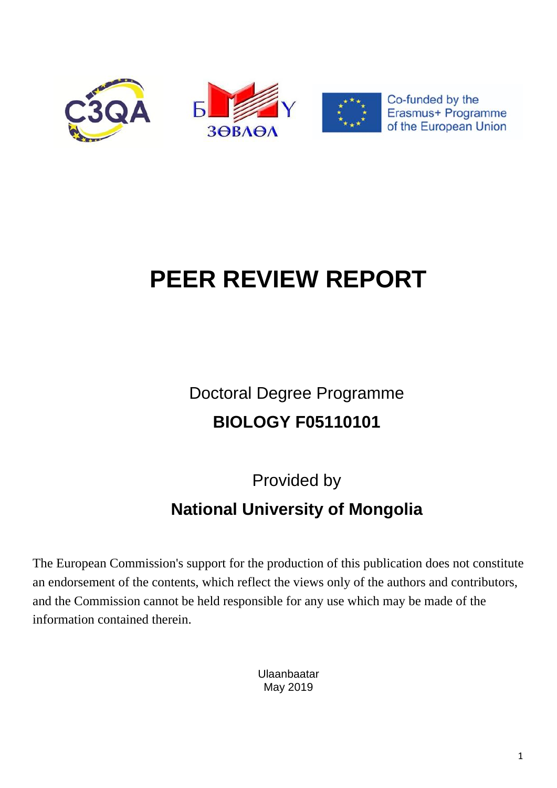

# **PEER REVIEW REPORT**

Doctoral Degree Programme **BIOLOGY F05110101**

Provided by

## **National University of Mongolia**

The European Commission's support for the production of this publication does not constitute an endorsement of the contents, which reflect the views only of the authors and contributors, and the Commission cannot be held responsible for any use which may be made of the information contained therein.

> Ulaanbaatar May 2019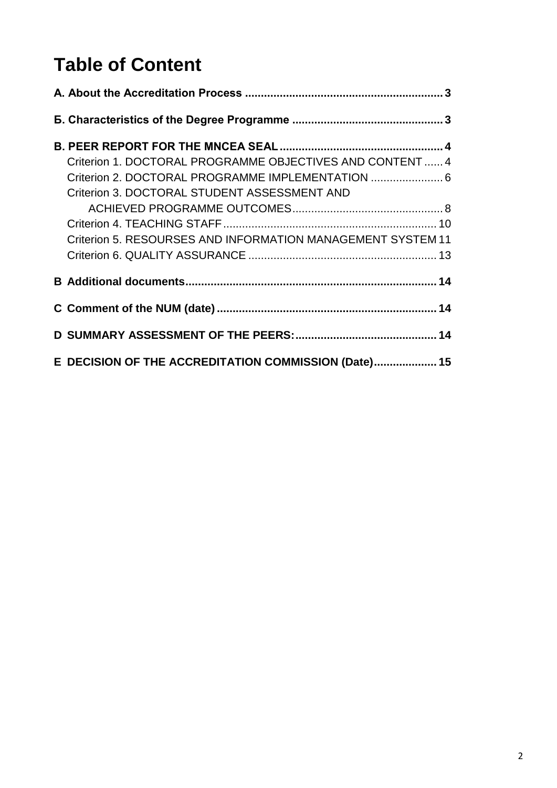## **Table of Content**

| Criterion 1. DOCTORAL PROGRAMME OBJECTIVES AND CONTENT 4<br>Criterion 2. DOCTORAL PROGRAMME IMPLEMENTATION  6<br>Criterion 3. DOCTORAL STUDENT ASSESSMENT AND<br>Criterion 5. RESOURSES AND INFORMATION MANAGEMENT SYSTEM 11 |  |
|------------------------------------------------------------------------------------------------------------------------------------------------------------------------------------------------------------------------------|--|
|                                                                                                                                                                                                                              |  |
|                                                                                                                                                                                                                              |  |
|                                                                                                                                                                                                                              |  |
| E DECISION OF THE ACCREDITATION COMMISSION (Date) 15                                                                                                                                                                         |  |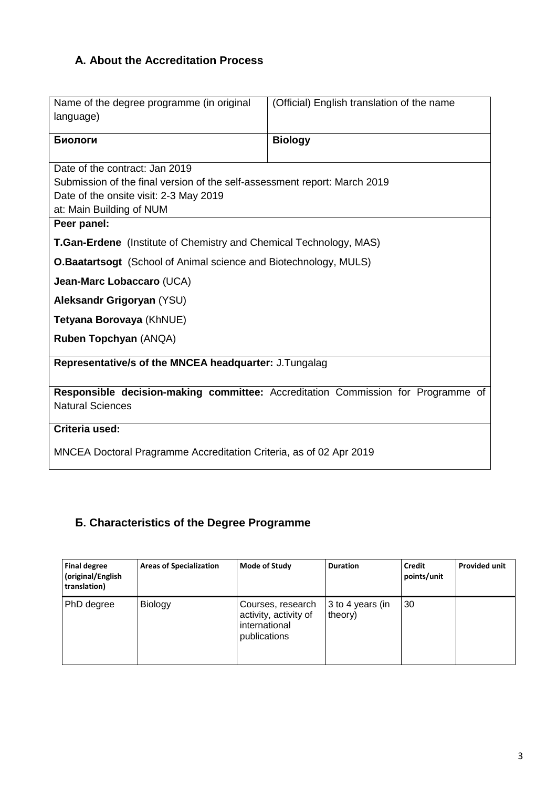## <span id="page-2-0"></span>**А. About the Accreditation Process**

| Name of the degree programme (in original<br>language)                                                                                                                            | (Official) English translation of the name                                       |  |  |  |
|-----------------------------------------------------------------------------------------------------------------------------------------------------------------------------------|----------------------------------------------------------------------------------|--|--|--|
| Биологи                                                                                                                                                                           | <b>Biology</b>                                                                   |  |  |  |
| Date of the contract: Jan 2019<br>Submission of the final version of the self-assessment report: March 2019<br>Date of the onsite visit: 2-3 May 2019<br>at: Main Building of NUM |                                                                                  |  |  |  |
| Peer panel:                                                                                                                                                                       |                                                                                  |  |  |  |
| <b>T.Gan-Erdene</b> (Institute of Chemistry and Chemical Technology, MAS)<br><b>O.Baatartsogt</b> (School of Animal science and Biotechnology, MULS)                              |                                                                                  |  |  |  |
| Jean-Marc Lobaccaro (UCA)                                                                                                                                                         |                                                                                  |  |  |  |
| Aleksandr Grigoryan (YSU)                                                                                                                                                         |                                                                                  |  |  |  |
| Tetyana Borovaya (KhNUE)                                                                                                                                                          |                                                                                  |  |  |  |
| Ruben Topchyan (ANQA)                                                                                                                                                             |                                                                                  |  |  |  |
| Representative/s of the MNCEA headquarter: J.Tungalag                                                                                                                             |                                                                                  |  |  |  |
| <b>Natural Sciences</b>                                                                                                                                                           | Responsible decision-making committee: Accreditation Commission for Programme of |  |  |  |
| Criteria used:                                                                                                                                                                    |                                                                                  |  |  |  |
| MNCEA Doctoral Pragramme Accreditation Criteria, as of 02 Apr 2019                                                                                                                |                                                                                  |  |  |  |

## <span id="page-2-1"></span>**Б. Characteristics of the Degree Programme**

| <b>Final degree</b><br>(original/English<br>translation) | <b>Areas of Specialization</b> | <b>Mode of Study</b>                                                        | <b>Duration</b>             | <b>Credit</b><br>points/unit | <b>Provided unit</b> |
|----------------------------------------------------------|--------------------------------|-----------------------------------------------------------------------------|-----------------------------|------------------------------|----------------------|
| PhD degree                                               | Biology                        | Courses, research<br>activity, activity of<br>international<br>publications | 3 to 4 years (in<br>theory) | 30                           |                      |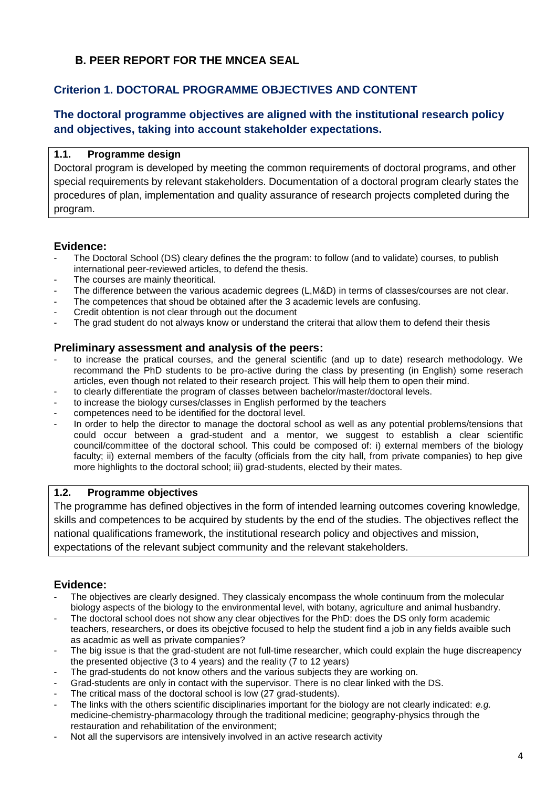## <span id="page-3-0"></span>**В. PEER REPORT FOR THE MNCEA SEAL**

## <span id="page-3-1"></span>**Criterion 1. DOCTORAL PROGRAMME OBJECTIVES AND CONTENT**

## **The doctoral programme objectives are aligned with the institutional research policy and objectives, taking into account stakeholder expectations.**

#### **1.1. Programme design**

Doctoral program is developed by meeting the common requirements of doctoral programs, and other special requirements by relevant stakeholders. Documentation of a doctoral program clearly states the procedures of plan, implementation and quality assurance of research projects completed during the program.

#### **Evidence:**

- The Doctoral School (DS) cleary defines the the program: to follow (and to validate) courses, to publish international peer-reviewed articles, to defend the thesis.
- The courses are mainly theoritical.
- The difference between the various academic degrees (L,M&D) in terms of classes/courses are not clear.
- The competences that shoud be obtained after the 3 academic levels are confusing.
- Credit obtention is not clear through out the document
- The grad student do not always know or understand the criterai that allow them to defend their thesis

#### **Preliminary assessment and analysis of the peers:**

- to increase the pratical courses, and the general scientific (and up to date) research methodology. We recommand the PhD students to be pro-active during the class by presenting (in English) some reserach articles, even though not related to their research project. This will help them to open their mind.
- to clearly differentiate the program of classes between bachelor/master/doctoral levels.
- to increase the biology curses/classes in English performed by the teachers
- competences need to be identified for the doctoral level.
- In order to help the director to manage the doctoral school as well as any potential problems/tensions that could occur between a grad-student and a mentor, we suggest to establish a clear scientific council/committee of the doctoral school. This could be composed of: i) external members of the biology faculty; ii) external members of the faculty (officials from the city hall, from private companies) to hep give more highlights to the doctoral school; iii) grad-students, elected by their mates.

#### **1.2. Programme objectives**

The programme has defined objectives in the form of intended learning outcomes covering knowledge, skills and competences to be acquired by students by the end of the studies. The objectives reflect the national qualifications framework, the institutional research policy and objectives and mission, expectations of the relevant subject community and the relevant stakeholders.

- The objectives are clearly designed. They classicaly encompass the whole continuum from the molecular biology aspects of the biology to the environmental level, with botany, agriculture and animal husbandry.
- The doctoral school does not show any clear objectives for the PhD: does the DS only form academic teachers, researchers, or does its obejctive focused to help the student find a job in any fields avaible such as acadmic as well as private companies?
- The big issue is that the grad-student are not full-time researcher, which could explain the huge discreapency the presented objective (3 to 4 years) and the reality (7 to 12 years)
- The grad-students do not know others and the various subjects they are working on.
- Grad-students are only in contact with the supervisor. There is no clear linked with the DS.
- The critical mass of the doctoral school is low (27 grad-students).
- The links with the others scientific disciplinaries important for the biology are not clearly indicated: *e.g.* medicine-chemistry-pharmacology through the traditional medicine; geography-physics through the restauration and rehabilitation of the environment;
- Not all the supervisors are intensively involved in an active research activity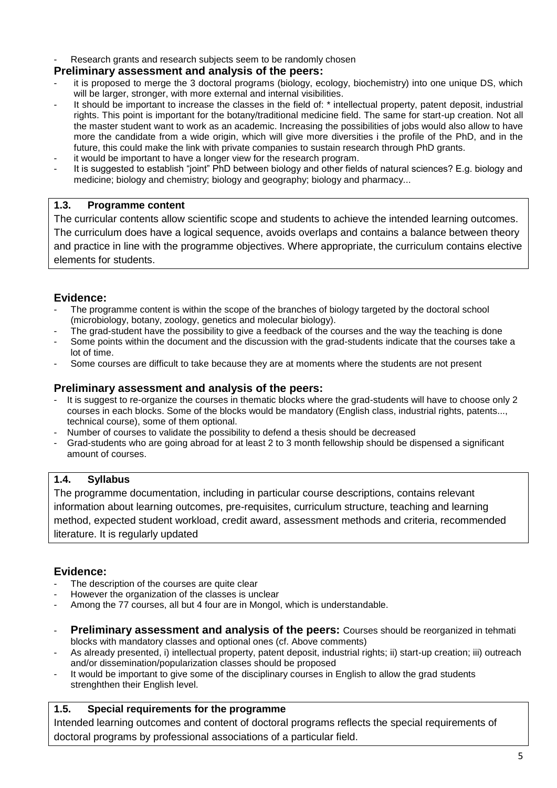Research grants and research subjects seem to be randomly chosen

#### **Preliminary assessment and analysis of the peers:**

- it is proposed to merge the 3 doctoral programs (biology, ecology, biochemistry) into one unique DS, which will be larger, stronger, with more external and internal visibilities.
- It should be important to increase the classes in the field of: \* intellectual property, patent deposit, industrial rights. This point is important for the botany/traditional medicine field. The same for start-up creation. Not all the master student want to work as an academic. Increasing the possibilities of jobs would also allow to have more the candidate from a wide origin, which will give more diversities i the profile of the PhD, and in the future, this could make the link with private companies to sustain research through PhD grants.
- it would be important to have a longer view for the research program.
- It is suggested to establish "joint" PhD between biology and other fields of natural sciences? E.g. biology and medicine; biology and chemistry; biology and geography; biology and pharmacy...

#### **1.3. Programme content**

The curricular contents allow scientific scope and students to achieve the intended learning outcomes. The curriculum does have a logical sequence, avoids overlaps and contains a balance between theory and practice in line with the programme objectives. Where appropriate, the curriculum contains elective elements for students.

#### **Evidence:**

- The programme content is within the scope of the branches of biology targeted by the doctoral school (microbiology, botany, zoology, genetics and molecular biology).
- The grad-student have the possibility to give a feedback of the courses and the way the teaching is done
- Some points within the document and the discussion with the grad-students indicate that the courses take a lot of time.
- Some courses are difficult to take because they are at moments where the students are not present

#### **Preliminary assessment and analysis of the peers:**

- It is suggest to re-organize the courses in thematic blocks where the grad-students will have to choose only 2 courses in each blocks. Some of the blocks would be mandatory (English class, industrial rights, patents..., technical course), some of them optional.
- Number of courses to validate the possibility to defend a thesis should be decreased
- Grad-students who are going abroad for at least 2 to 3 month fellowship should be dispensed a significant amount of courses.

#### **1.4. Syllabus**

The programme documentation, including in particular course descriptions, contains relevant information about learning outcomes, pre-requisites, curriculum structure, teaching and learning method, expected student workload, credit award, assessment methods and criteria, recommended literature. It is regularly updated

#### **Evidence:**

- The description of the courses are quite clear
- However the organization of the classes is unclear
- Among the 77 courses, all but 4 four are in Mongol, which is understandable.
- **Preliminary assessment and analysis of the peers:** Courses should be reorganized in tehmati blocks with mandatory classes and optional ones (cf. Above comments)
- As already presented, i) intellectual property, patent deposit, industrial rights; ii) start-up creation; iii) outreach and/or dissemination/popularization classes should be proposed
- It would be important to give some of the disciplinary courses in English to allow the grad students strenghthen their English level.

#### **1.5. Special requirements for the programme**

Intended learning outcomes and content of doctoral programs reflects the special requirements of doctoral programs by professional associations of a particular field.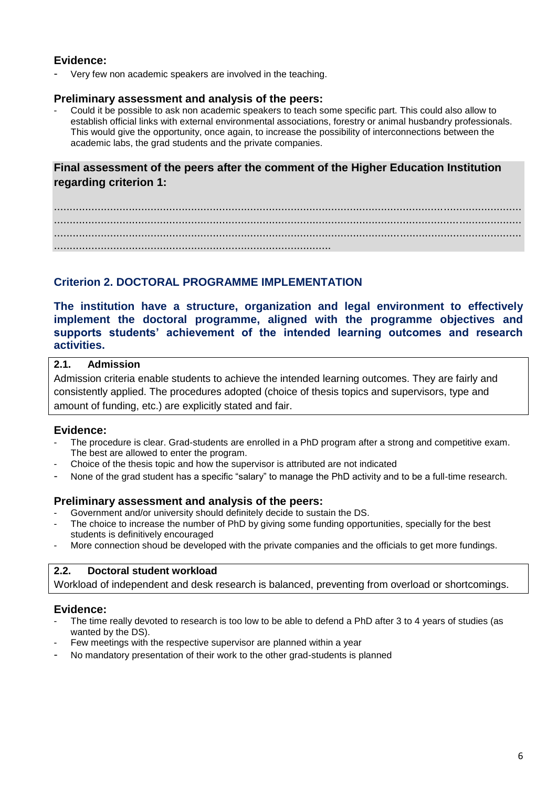#### **Evidence:**

Very few non academic speakers are involved in the teaching.

#### **Preliminary assessment and analysis of the peers:**

- Could it be possible to ask non academic speakers to teach some specific part. This could also allow to establish official links with external environmental associations, forestry or animal husbandry professionals. This would give the opportunity, once again, to increase the possibility of interconnections between the academic labs, the grad students and the private companies.

## **Final assessment of the peers after the comment of the Higher Education Institution regarding criterion 1:**

...................................................................................................................................................... ...................................................................................................................................................... ...................................................................................................................................................... .........................................................................................

## <span id="page-5-0"></span>**Criterion 2. DOCTORAL PROGRAMME IMPLEMENTATION**

**The institution have a structure, organization and legal environment to effectively implement the doctoral programme, aligned with the programme objectives and supports students' achievement of the intended learning outcomes and research activities.**

#### **2.1. Admission**

Admission criteria enable students to achieve the intended learning outcomes. They are fairly and consistently applied. The procedures adopted (choice of thesis topics and supervisors, type and amount of funding, etc.) are explicitly stated and fair.

#### **Evidence:**

- The procedure is clear. Grad-students are enrolled in a PhD program after a strong and competitive exam. The best are allowed to enter the program.
- Choice of the thesis topic and how the supervisor is attributed are not indicated
- None of the grad student has a specific "salary" to manage the PhD activity and to be a full-time research.

#### **Preliminary assessment and analysis of the peers:**

- Government and/or university should definitely decide to sustain the DS.
- The choice to increase the number of PhD by giving some funding opportunities, specially for the best students is definitively encouraged
- More connection shoud be developed with the private companies and the officials to get more fundings.

#### **2.2. Doctoral student workload**

Workload of independent and desk research is balanced, preventing from overload or shortcomings.

- The time really devoted to research is too low to be able to defend a PhD after 3 to 4 years of studies (as wanted by the DS).
- Few meetings with the respective supervisor are planned within a year
- No mandatory presentation of their work to the other grad-students is planned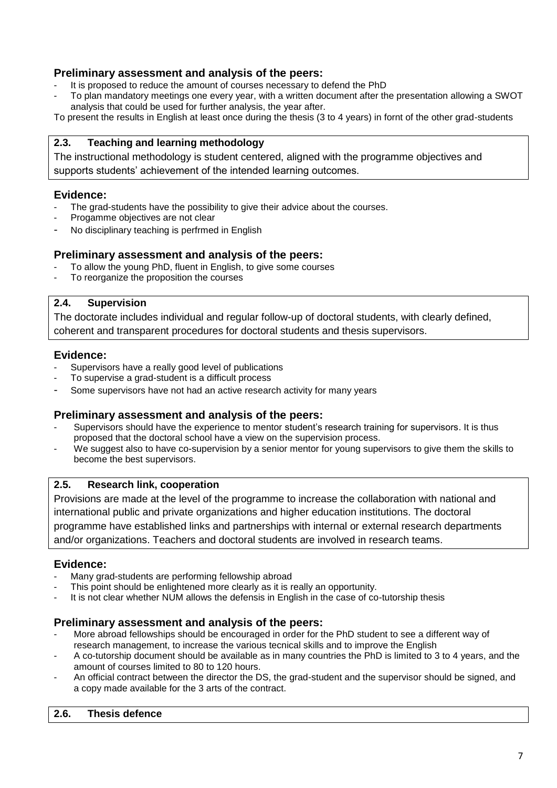#### **Preliminary assessment and analysis of the peers:**

- It is proposed to reduce the amount of courses necessary to defend the PhD
- To plan mandatory meetings one every year, with a written document after the presentation allowing a SWOT analysis that could be used for further analysis, the year after.

To present the results in English at least once during the thesis (3 to 4 years) in fornt of the other grad-students

#### **2.3. Teaching and learning methodology**

The instructional methodology is student centered, aligned with the programme objectives and supports students' achievement of the intended learning outcomes.

#### **Evidence:**

- The grad-students have the possibility to give their advice about the courses.
- Progamme objectives are not clear
- No disciplinary teaching is perfrmed in English

#### **Preliminary assessment and analysis of the peers:**

- To allow the young PhD, fluent in English, to give some courses
- To reorganize the proposition the courses

#### **2.4. Supervision**

The doctorate includes individual and regular follow-up of doctoral students, with clearly defined, coherent and transparent procedures for doctoral students and thesis supervisors.

#### **Evidence:**

- Supervisors have a really good level of publications
- To supervise a grad-student is a difficult process
- Some supervisors have not had an active research activity for many years

#### **Preliminary assessment and analysis of the peers:**

- Supervisors should have the experience to mentor student's research training for supervisors. It is thus proposed that the doctoral school have a view on the supervision process.
- We suggest also to have co-supervision by a senior mentor for young supervisors to give them the skills to become the best supervisors.

#### **2.5. Research link, cooperation**

Provisions are made at the level of the programme to increase the collaboration with national and international public and private organizations and higher education institutions. The doctoral programme have established links and partnerships with internal or external research departments and/or organizations. Teachers and doctoral students are involved in research teams.

#### **Evidence:**

- Many grad-students are performing fellowship abroad
- This point should be enlightened more clearly as it is really an opportunity.
- It is not clear whether NUM allows the defensis in English in the case of co-tutorship thesis

#### **Preliminary assessment and analysis of the peers:**

- More abroad fellowships should be encouraged in order for the PhD student to see a different way of research management, to increase the various tecnical skills and to improve the English
- A co-tutorship document should be available as in many countries the PhD is limited to 3 to 4 years, and the amount of courses limited to 80 to 120 hours.
- An official contract between the director the DS, the grad-student and the supervisor should be signed, and a copy made available for the 3 arts of the contract.

#### **2.6. Thesis defence**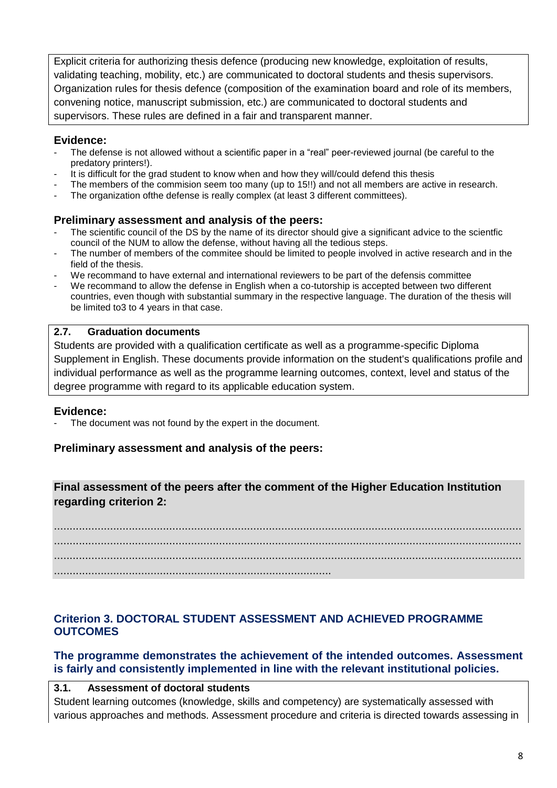Explicit criteria for authorizing thesis defence (producing new knowledge, exploitation of results, validating teaching, mobility, etc.) are communicated to doctoral students and thesis supervisors. Organization rules for thesis defence (composition of the examination board and role of its members, convening notice, manuscript submission, etc.) are communicated to doctoral students and supervisors. These rules are defined in a fair and transparent manner.

#### **Evidence:**

- The defense is not allowed without a scientific paper in a "real" peer-reviewed journal (be careful to the predatory printers!).
- It is difficult for the grad student to know when and how they will/could defend this thesis
- The members of the commision seem too many (up to 15!!) and not all members are active in research.
- The organization ofthe defense is really complex (at least 3 different committees).

#### **Preliminary assessment and analysis of the peers:**

- The scientific council of the DS by the name of its director should give a significant advice to the scientfic council of the NUM to allow the defense, without having all the tedious steps.
- The number of members of the commitee should be limited to people involved in active research and in the field of the thesis.
- We recommand to have external and international reviewers to be part of the defensis committee
- We recommand to allow the defense in English when a co-tutorship is accepted between two different countries, even though with substantial summary in the respective language. The duration of the thesis will be limited to3 to 4 years in that case.

#### **2.7. Graduation documents**

Students are provided with a qualification certificate as well as a programme-specific Diploma Supplement in English. These documents provide information on the student's qualifications profile and individual performance as well as the programme learning outcomes, context, level and status of the degree programme with regard to its applicable education system.

#### **Evidence:**

The document was not found by the expert in the document.

#### **Preliminary assessment and analysis of the peers:**

## **Final assessment of the peers after the comment of the Higher Education Institution regarding criterion 2:**

...................................................................................................................................................... ...................................................................................................................................................... ...................................................................................................................................................... .........................................................................................

## <span id="page-7-0"></span>**Criterion 3. DOCTORAL STUDENT ASSESSMENT AND ACHIEVED PROGRAMME OUTCOMES**

#### **The programme demonstrates the achievement of the intended outcomes. Assessment is fairly and consistently implemented in line with the relevant institutional policies.**

#### **3.1. Assessment of doctoral students**

Student learning outcomes (knowledge, skills and competency) are systematically assessed with various approaches and methods. Assessment procedure and criteria is directed towards assessing in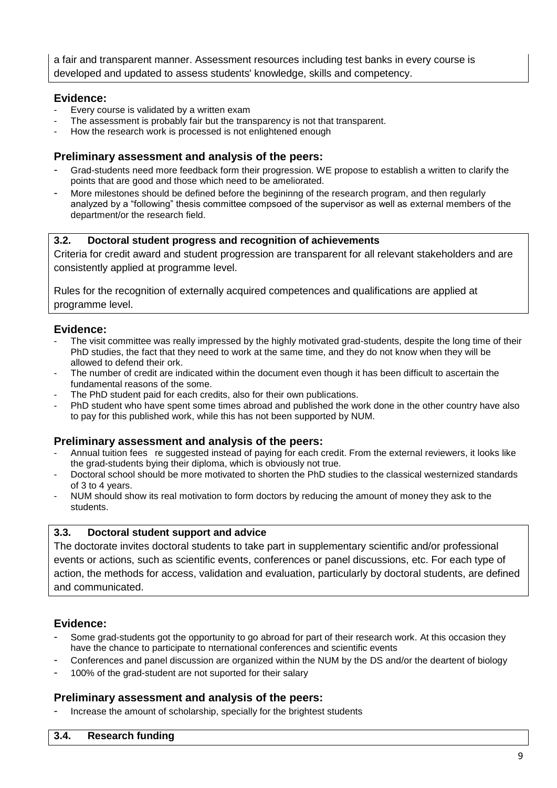a fair and transparent manner. Assessment resources including test banks in every course is developed and updated to assess students' knowledge, skills and competency.

#### **Evidence:**

- Every course is validated by a written exam
- The assessment is probably fair but the transparency is not that transparent.
- How the research work is processed is not enlightened enough

#### **Preliminary assessment and analysis of the peers:**

- Grad-students need more feedback form their progression. WE propose to establish a written to clarify the points that are good and those which need to be ameliorated.
- More milestones should be defined before the begininng of the research program, and then regularly analyzed by a "following" thesis committee compsoed of the supervisor as well as external members of the department/or the research field.

#### **3.2. Doctoral student progress and recognition of achievements**

Criteria for credit award and student progression are transparent for all relevant stakeholders and are consistently applied at programme level.

Rules for the recognition of externally acquired competences and qualifications are applied at programme level.

#### **Evidence:**

- The visit committee was really impressed by the highly motivated grad-students, despite the long time of their PhD studies, the fact that they need to work at the same time, and they do not know when they will be allowed to defend their ork.
- The number of credit are indicated within the document even though it has been difficult to ascertain the fundamental reasons of the some.
- The PhD student paid for each credits, also for their own publications.
- PhD student who have spent some times abroad and published the work done in the other country have also to pay for this published work, while this has not been supported by NUM.

#### **Preliminary assessment and analysis of the peers:**

- Annual tuition fees re suggested instead of paying for each credit. From the external reviewers, it looks like the grad-students bying their diploma, which is obviously not true.
- Doctoral school should be more motivated to shorten the PhD studies to the classical westernized standards of 3 to 4 years.
- NUM should show its real motivation to form doctors by reducing the amount of money they ask to the students.

#### **3.3. Doctoral student support and advice**

The doctorate invites doctoral students to take part in supplementary scientific and/or professional events or actions, such as scientific events, conferences or panel discussions, etc. For each type of action, the methods for access, validation and evaluation, particularly by doctoral students, are defined and communicated.

#### **Evidence:**

- Some grad-students got the opportunity to go abroad for part of their research work. At this occasion they have the chance to participate to nternational conferences and scientific events
- Conferences and panel discussion are organized within the NUM by the DS and/or the deartent of biology
- 100% of the grad-student are not suported for their salary

#### **Preliminary assessment and analysis of the peers:**

Increase the amount of scholarship, specially for the brightest students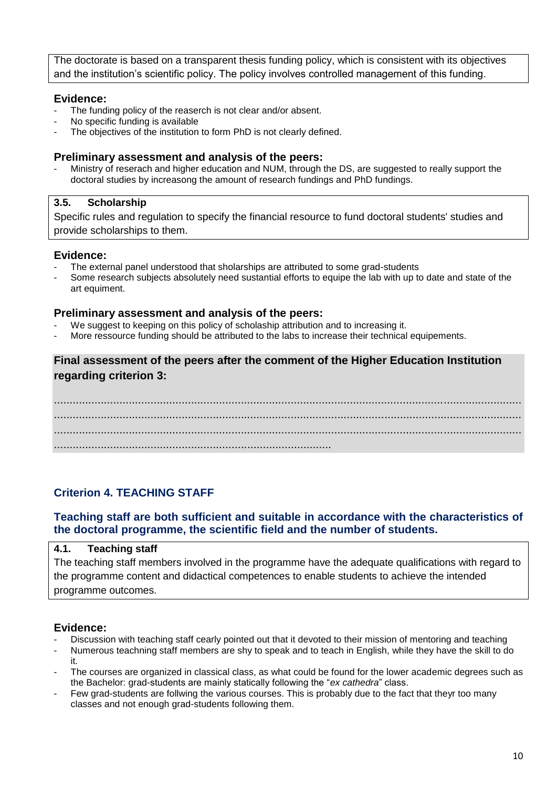The doctorate is based on a transparent thesis funding policy, which is consistent with its objectives and the institution's scientific policy. The policy involves controlled management of this funding.

#### **Evidence:**

- The funding policy of the reaserch is not clear and/or absent.
- No specific funding is available
- The objectives of the institution to form PhD is not clearly defined.

#### **Preliminary assessment and analysis of the peers:**

Ministry of reserach and higher education and NUM, through the DS, are suggested to really support the doctoral studies by increasong the amount of research fundings and PhD fundings.

#### **3.5. Scholarship**

Specific rules and regulation to specify the financial resource to fund doctoral students' studies and provide scholarships to them.

#### **Evidence:**

- The external panel understood that sholarships are attributed to some grad-students
- Some research subjects absolutely need sustantial efforts to equipe the lab with up to date and state of the art equiment.

#### **Preliminary assessment and analysis of the peers:**

- We suggest to keeping on this policy of scholaship attribution and to increasing it.
- More ressource funding should be attributed to the labs to increase their technical equipements.

#### **Final assessment of the peers after the comment of the Higher Education Institution regarding criterion 3:**

...................................................................................................................................................... ...................................................................................................................................................... ...................................................................................................................................................... .........................................................................................

#### <span id="page-9-0"></span>**Criterion 4. TEACHING STAFF**

#### **Teaching staff are both sufficient and suitable in accordance with the characteristics of the doctoral programme, the scientific field and the number of students.**

#### **4.1. Teaching staff** The teaching staff members involved in the programme have the adequate qualifications with regard to the programme content and didactical competences to enable students to achieve the intended programme outcomes.

- Discussion with teaching staff cearly pointed out that it devoted to their mission of mentoring and teaching
- Numerous teachning staff members are shy to speak and to teach in English, while they have the skill to do it.
- The courses are organized in classical class, as what could be found for the lower academic degrees such as the Bachelor: grad-students are mainly statically following the "*ex cathedra*" class.
- Few grad-students are follwing the various courses. This is probably due to the fact that theyr too many classes and not enough grad-students following them.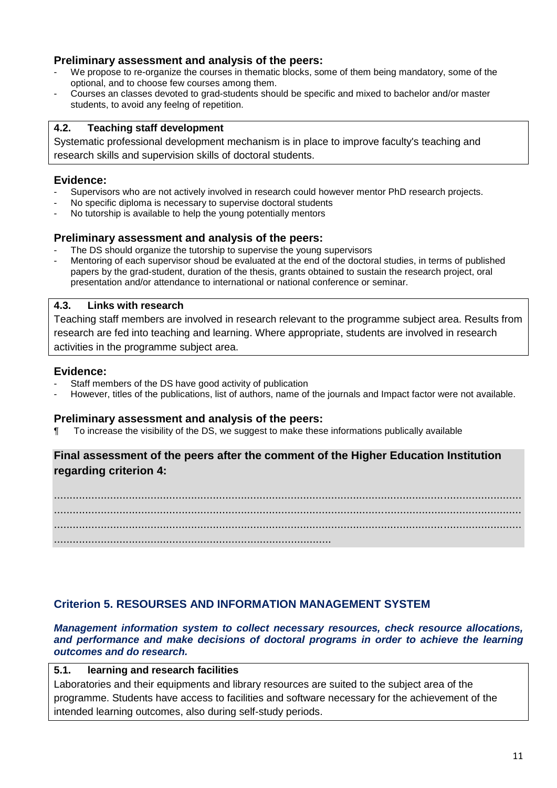#### **Preliminary assessment and analysis of the peers:**

- We propose to re-organize the courses in thematic blocks, some of them being mandatory, some of the optional, and to choose few courses among them.
- Courses an classes devoted to grad-students should be specific and mixed to bachelor and/or master students, to avoid any feelng of repetition.

#### **4.2. Teaching staff development**

Systematic professional development mechanism is in place to improve faculty's teaching and research skills and supervision skills of doctoral students.

#### **Evidence:**

- Supervisors who are not actively involved in research could however mentor PhD research projects.
- No specific diploma is necessary to supervise doctoral students
- No tutorship is available to help the young potentially mentors

#### **Preliminary assessment and analysis of the peers:**

- The DS should organize the tutorship to supervise the young supervisors
- Mentoring of each supervisor shoud be evaluated at the end of the doctoral studies, in terms of published papers by the grad-student, duration of the thesis, grants obtained to sustain the research project, oral presentation and/or attendance to international or national conference or seminar.

#### **4.3. Links with research**

Teaching staff members are involved in research relevant to the programme subject area. Results from research are fed into teaching and learning. Where appropriate, students are involved in research activities in the programme subject area.

#### **Evidence:**

- Staff members of the DS have good activity of publication
- However, titles of the publications, list of authors, name of the journals and Impact factor were not available.

#### **Preliminary assessment and analysis of the peers:**

¶ To increase the visibility of the DS, we suggest to make these informations publically available

#### **Final assessment of the peers after the comment of the Higher Education Institution regarding criterion 4:**

...................................................................................................................................................... ...................................................................................................................................................... ...................................................................................................................................................... .........................................................................................

#### <span id="page-10-0"></span>**Criterion 5. RESOURSES AND INFORMATION MANAGEMENT SYSTEM**

*Management information system to collect necessary resources, check resource allocations,*  and performance and make decisions of doctoral programs in order to achieve the *learning outcomes and do research.*

#### **5.1. learning and research facilities**

Laboratories and their equipments and library resources are suited to the subject area of the programme. Students have access to facilities and software necessary for the achievement of the intended learning outcomes, also during self-study periods.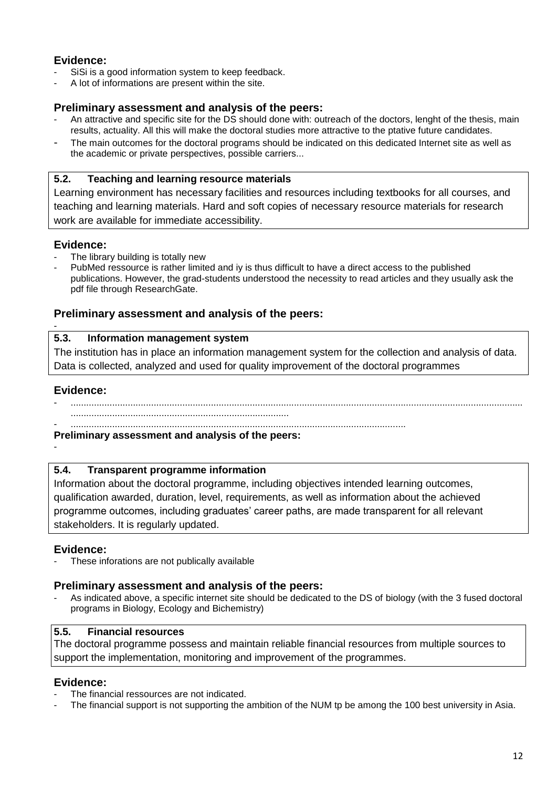### **Evidence:**

- SiSi is a good information system to keep feedback.
- A lot of informations are present within the site.

#### **Preliminary assessment and analysis of the peers:**

- An attractive and specific site for the DS should done with: outreach of the doctors, lenght of the thesis, main results, actuality. All this will make the doctoral studies more attractive to the ptative future candidates.
- The main outcomes for the doctoral programs should be indicated on this dedicated Internet site as well as the academic or private perspectives, possible carriers...

#### **5.2. Teaching and learning resource materials**

Learning environment has necessary facilities and resources including textbooks for all courses, and teaching and learning materials. Hard and soft copies of necessary resource materials for research work are available for immediate accessibility.

#### **Evidence:**

- The library building is totally new
- PubMed ressource is rather limited and iy is thus difficult to have a direct access to the published publications. However, the grad-students understood the necessity to read articles and they usually ask the pdf file through ResearchGate.

#### **Preliminary assessment and analysis of the peers:**

#### **5.3. Information management system**

The institution has in place an information management system for the collection and analysis of data. Data is collected, analyzed and used for quality improvement of the doctoral programmes

#### **Evidence:**

- ..............................................................................................................................................................................

.................................................................................... - .................................................................................................................................

#### **Preliminary assessment and analysis of the peers:**

-

-

## **5.4. Transparent programme information**

Information about the doctoral programme, including objectives intended learning outcomes, qualification awarded, duration, level, requirements, as well as information about the achieved programme outcomes, including graduates' career paths, are made transparent for all relevant stakeholders. It is regularly updated.

## **Evidence:**

These inforations are not publically available

## **Preliminary assessment and analysis of the peers:**

As indicated above, a specific internet site should be dedicated to the DS of biology (with the 3 fused doctoral programs in Biology, Ecology and Bichemistry)

## **5.5. Financial resources**

The doctoral programme possess and maintain reliable financial resources from multiple sources to support the implementation, monitoring and improvement of the programmes.

- The financial ressources are not indicated.
- The financial support is not supporting the ambition of the NUM tp be among the 100 best university in Asia.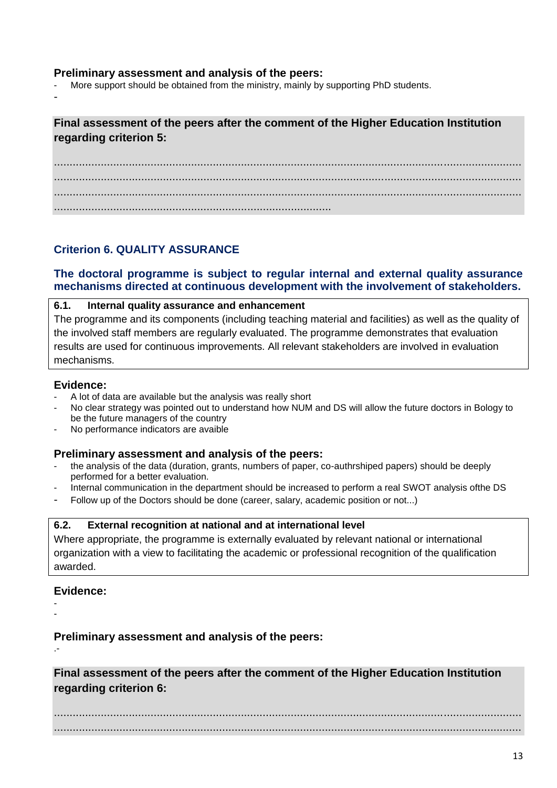#### **Preliminary assessment and analysis of the peers:**

More support should be obtained from the ministry, mainly by supporting PhD students.

-

**Final assessment of the peers after the comment of the Higher Education Institution regarding criterion 5:**

...................................................................................................................................................... ...................................................................................................................................................... ...................................................................................................................................................... .........................................................................................

## <span id="page-12-0"></span>**Criterion 6. QUALITY ASSURANCE**

#### **The doctoral programme is subject to regular internal and external quality assurance mechanisms directed at continuous development with the involvement of stakeholders.**

#### **6.1. Internal quality assurance and enhancement**

The programme and its components (including teaching material and facilities) as well as the quality of the involved staff members are regularly evaluated. The programme demonstrates that evaluation results are used for continuous improvements. All relevant stakeholders are involved in evaluation mechanisms.

#### **Evidence:**

- A lot of data are available but the analysis was really short
- No clear strategy was pointed out to understand how NUM and DS will allow the future doctors in Bology to be the future managers of the country
- No performance indicators are avaible

#### **Preliminary assessment and analysis of the peers:**

- the analysis of the data (duration, grants, numbers of paper, co-authrshiped papers) should be deeply performed for a better evaluation.
- Internal communication in the department should be increased to perform a real SWOT analysis ofthe DS
- Follow up of the Doctors should be done (career, salary, academic position or not...)

#### **6.2. External recognition at national and at international level**

Where appropriate, the programme is externally evaluated by relevant national or international organization with a view to facilitating the academic or professional recognition of the qualification awarded.

#### **Evidence:**

- -

.-

**Preliminary assessment and analysis of the peers:**

**Final assessment of the peers after the comment of the Higher Education Institution regarding criterion 6:**

...................................................................................................................................................... ......................................................................................................................................................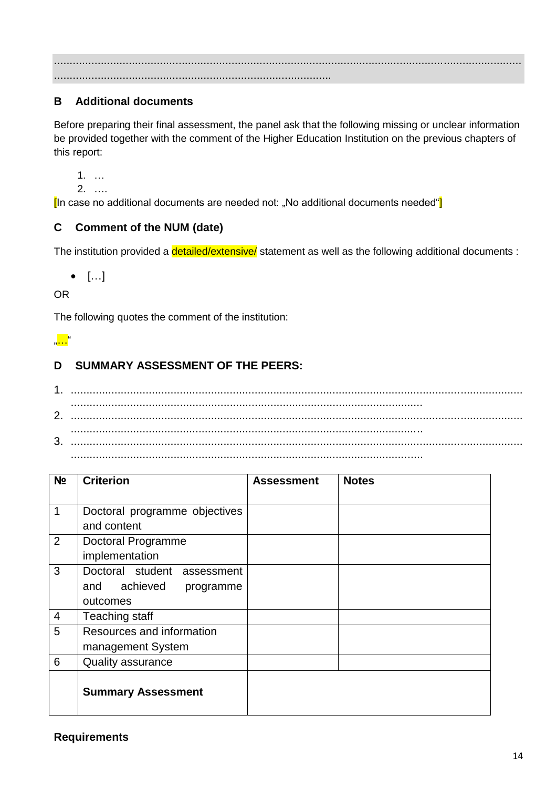...................................................................................................................................................... .........................................................................................

## <span id="page-13-0"></span>**B Additional documents**

Before preparing their final assessment, the panel ask that the following missing or unclear information be provided together with the comment of the Higher Education Institution on the previous chapters of this report:

1. …

2. ….

[In case no additional documents are needed not: "No additional documents needed"]

#### <span id="page-13-1"></span>**C Comment of the NUM (date)**

The institution provided a *detailed/extensive/* statement as well as the following additional documents :

 $\bullet$  [...]

OR

The following quotes the comment of the institution:

.,<mark>. . . .</mark>"

## <span id="page-13-2"></span>**D SUMMARY ASSESSMENT OF THE PEERS:**

1. ................................................................................................................................................. ................................................................................................................. 2. ................................................................................................................................................. ................................................................................................................. 3. ................................................................................................................................................. .................................................................................................................

| N <sub>2</sub> | <b>Criterion</b>              | <b>Assessment</b> | <b>Notes</b> |
|----------------|-------------------------------|-------------------|--------------|
|                |                               |                   |              |
| 1              | Doctoral programme objectives |                   |              |
|                | and content                   |                   |              |
| 2              | Doctoral Programme            |                   |              |
|                | implementation                |                   |              |
| 3              | Doctoral student assessment   |                   |              |
|                | and achieved<br>programme     |                   |              |
|                | outcomes                      |                   |              |
| $\overline{4}$ | Teaching staff                |                   |              |
| 5              | Resources and information     |                   |              |
|                | management System             |                   |              |
| 6              | <b>Quality assurance</b>      |                   |              |
|                | <b>Summary Assessment</b>     |                   |              |